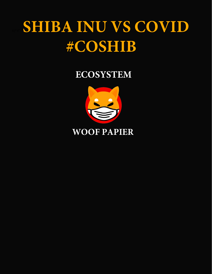### SHIBA INU VS COVID #COSHIB

#### **ECOSYSTEM**



#### **WOOF PAPIER**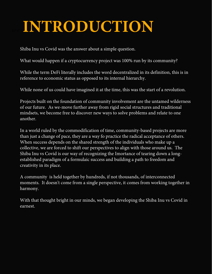## 4)\*#" \***INTRODUCTION**

Shiba Inu vs Covid was the answer about a simple question.

What would happen if a cryptocurrency project was 100% run by its community?

While the term DeFi literally includes the word decentralized in its definition, this is in reference to economic status as opposed to its internal hierarchy.

While none of us could have imagined it at the time, this was the start of a revolution.

Projects built on the foundation of community involvement are the untamed wilderness of our future. As we-move further away from rigid social structures and traditional mindsets, we become free to discover new ways to solve problems and relate to one another.

In a world ruled by the commodification of time, community-based projects are more than just a changе of pace, they are a way fo practice the radical accеptancе of others. When success depends on the shared strength of the individuals who make up a collective, we are forced to shift our perspectives to align with those around us. The Shiba Inu vs Covid is our way of recognizing the Imоrtance of tearing down a longestablished paradigm of a formulaic success and building a path to freedom and creativity in its place.

A community is held together by hundreds, if not thousands, of interconnected moments. It doesn't come from a single perspective, it comes from working together in harmony.

With that thought bright in our minds, we began developing the Shiba Inu vs Covid in earnest.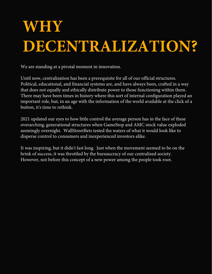# $WHY$ **DECENTRALIZATION?**

We are standing at a pivotal moment in innovation.

Until now, centralization has been a prerequisite for all of our official structures. Political, educational, and financial systems are, and have always been, crafted in a way that does not equally and ethically distribute power to those functioning within them. There may have been times in history where this sort of internal configuration played an important role, but, in an age with the information of the world available at the click of a button, it's time to rethink.

2021 updated our eyes to how little control the average person has in the face of these overarching, generational structures when GameStop and AMC stock value exploded seemingly overnight. WallStreetBets tested the waters of what it would look like to disperse control to consumers and inexperienced investors alike.

It was inspiring, but it didn't last long. Just when the movement seemed to be on the brink of success, it was throttled by the bureaucracy of our centralized society. However, not before this concept of a new power among the people took root.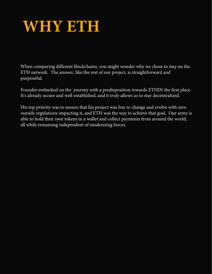

When comparing different blockchains, you might wonder why we chose to stay on the ETH network. The answer, like the rest of our projеct, is straightforward and purposeful.

Founder embarked on the journey with a predisposition towards ЕTHIN the first place. It's already secure and well-established, and it truly allows us to stay decentralized.

His top priority was to ensure that his project was free to change and evolve with zero outside regulations impacting it, and ETH was the way to achieve that goal. Our army is able to hold their own tokens in a wallet and collect payments from around the world, all while remaining independent of moderating forces.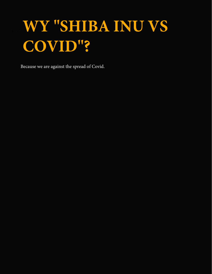# WY "SHIBA INU VS COVID"?

Because we are against the spread of Covid.